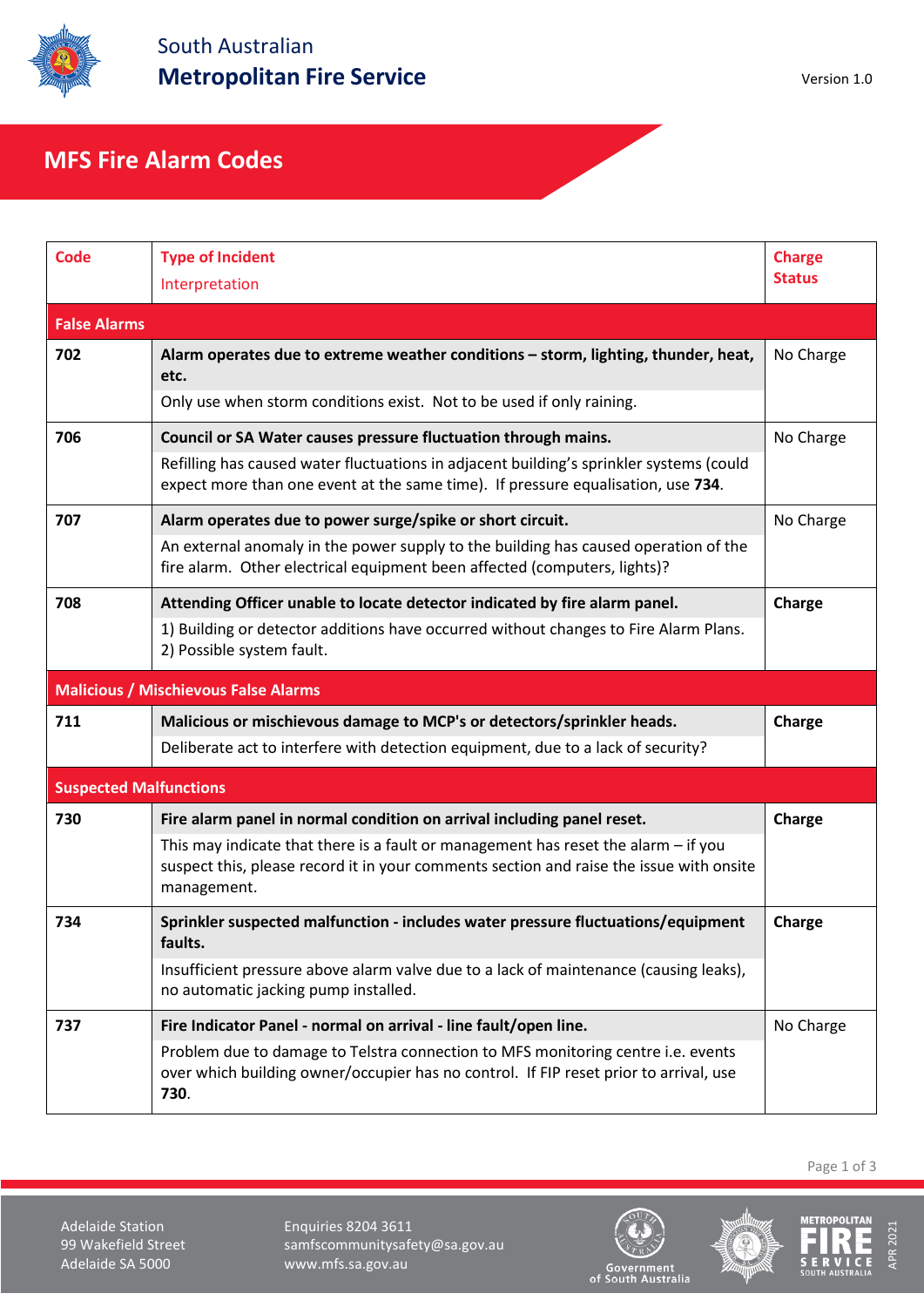

## **MFS Fire Alarm Codes**

| <b>Code</b>                   | <b>Type of Incident</b><br>Interpretation                                                                                                                                                      | <b>Charge</b><br><b>Status</b> |  |  |  |
|-------------------------------|------------------------------------------------------------------------------------------------------------------------------------------------------------------------------------------------|--------------------------------|--|--|--|
| <b>False Alarms</b>           |                                                                                                                                                                                                |                                |  |  |  |
| 702                           | Alarm operates due to extreme weather conditions - storm, lighting, thunder, heat,<br>etc.                                                                                                     | No Charge                      |  |  |  |
|                               | Only use when storm conditions exist. Not to be used if only raining.                                                                                                                          |                                |  |  |  |
| 706                           | Council or SA Water causes pressure fluctuation through mains.                                                                                                                                 | No Charge                      |  |  |  |
|                               | Refilling has caused water fluctuations in adjacent building's sprinkler systems (could<br>expect more than one event at the same time). If pressure equalisation, use 734.                    |                                |  |  |  |
| 707                           | Alarm operates due to power surge/spike or short circuit.                                                                                                                                      | No Charge                      |  |  |  |
|                               | An external anomaly in the power supply to the building has caused operation of the<br>fire alarm. Other electrical equipment been affected (computers, lights)?                               |                                |  |  |  |
| 708                           | Attending Officer unable to locate detector indicated by fire alarm panel.                                                                                                                     | Charge                         |  |  |  |
|                               | 1) Building or detector additions have occurred without changes to Fire Alarm Plans.<br>2) Possible system fault.                                                                              |                                |  |  |  |
|                               | <b>Malicious / Mischievous False Alarms</b>                                                                                                                                                    |                                |  |  |  |
| 711                           | Malicious or mischievous damage to MCP's or detectors/sprinkler heads.                                                                                                                         | Charge                         |  |  |  |
|                               | Deliberate act to interfere with detection equipment, due to a lack of security?                                                                                                               |                                |  |  |  |
| <b>Suspected Malfunctions</b> |                                                                                                                                                                                                |                                |  |  |  |
| 730                           | Fire alarm panel in normal condition on arrival including panel reset.                                                                                                                         | Charge                         |  |  |  |
|                               | This may indicate that there is a fault or management has reset the alarm $-$ if you<br>suspect this, please record it in your comments section and raise the issue with onsite<br>management. |                                |  |  |  |
| 734                           | Sprinkler suspected malfunction - includes water pressure fluctuations/equipment<br>faults.                                                                                                    | Charge                         |  |  |  |
|                               | Insufficient pressure above alarm valve due to a lack of maintenance (causing leaks),<br>no automatic jacking pump installed.                                                                  |                                |  |  |  |
| 737                           | Fire Indicator Panel - normal on arrival - line fault/open line.                                                                                                                               | No Charge                      |  |  |  |
|                               | Problem due to damage to Telstra connection to MFS monitoring centre i.e. events<br>over which building owner/occupier has no control. If FIP reset prior to arrival, use<br>730.              |                                |  |  |  |

Page 1 of 3

Adelaide Station **Enquiries 8204 3611**<br>199 Wakefield Street **Englished Strument** samfscommunitysafe samfscommunitysafety@sa.gov.au Adelaide SA 5000 www.mfs.sa.gov.au





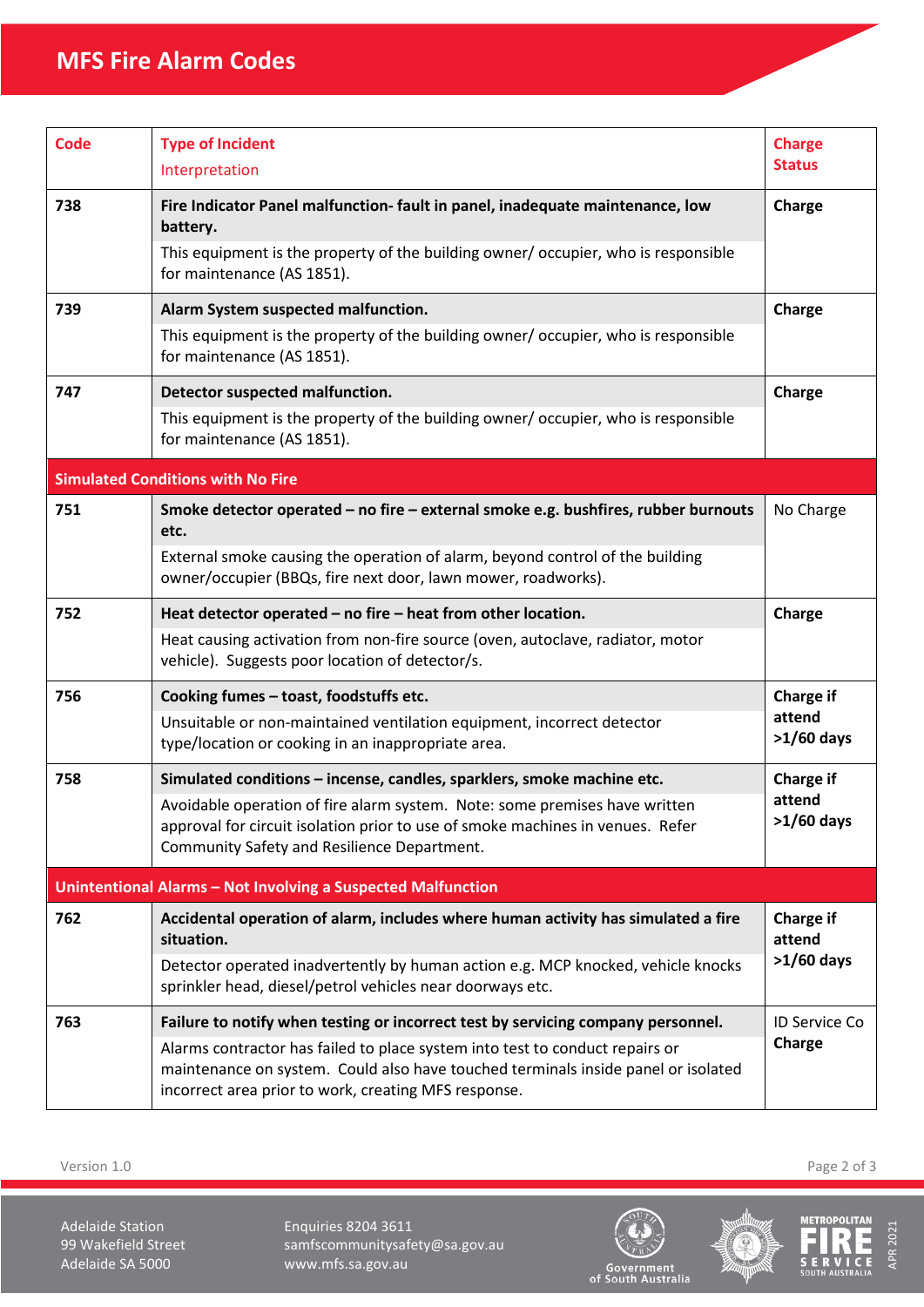## **MFS Fire Alarm Codes**

| <b>Code</b>                                                  | <b>Type of Incident</b><br>Interpretation                                                                                                                                                                                 | <b>Charge</b><br><b>Status</b>             |  |  |
|--------------------------------------------------------------|---------------------------------------------------------------------------------------------------------------------------------------------------------------------------------------------------------------------------|--------------------------------------------|--|--|
| 738                                                          | Fire Indicator Panel malfunction- fault in panel, inadequate maintenance, low<br>battery.<br>This equipment is the property of the building owner/occupier, who is responsible<br>for maintenance (AS 1851).              | Charge                                     |  |  |
| 739                                                          | Alarm System suspected malfunction.<br>This equipment is the property of the building owner/ occupier, who is responsible<br>for maintenance (AS 1851).                                                                   | Charge                                     |  |  |
| 747                                                          | Detector suspected malfunction.<br>This equipment is the property of the building owner/occupier, who is responsible<br>for maintenance (AS 1851).                                                                        | Charge                                     |  |  |
|                                                              | <b>Simulated Conditions with No Fire</b>                                                                                                                                                                                  |                                            |  |  |
| 751                                                          | Smoke detector operated - no fire - external smoke e.g. bushfires, rubber burnouts<br>etc.                                                                                                                                | No Charge                                  |  |  |
|                                                              | External smoke causing the operation of alarm, beyond control of the building<br>owner/occupier (BBQs, fire next door, lawn mower, roadworks).                                                                            |                                            |  |  |
| 752                                                          | Heat detector operated - no fire - heat from other location.                                                                                                                                                              | Charge                                     |  |  |
|                                                              | Heat causing activation from non-fire source (oven, autoclave, radiator, motor<br>vehicle). Suggests poor location of detector/s.                                                                                         |                                            |  |  |
| 756                                                          | Cooking fumes - toast, foodstuffs etc.                                                                                                                                                                                    | <b>Charge if</b><br>attend<br>$>1/60$ days |  |  |
|                                                              | Unsuitable or non-maintained ventilation equipment, incorrect detector<br>type/location or cooking in an inappropriate area.                                                                                              |                                            |  |  |
| 758                                                          | Simulated conditions - incense, candles, sparklers, smoke machine etc.                                                                                                                                                    | <b>Charge if</b><br>attend<br>$>1/60$ days |  |  |
|                                                              | Avoidable operation of fire alarm system. Note: some premises have written<br>approval for circuit isolation prior to use of smoke machines in venues. Refer<br>Community Safety and Resilience Department.               |                                            |  |  |
| Unintentional Alarms - Not Involving a Suspected Malfunction |                                                                                                                                                                                                                           |                                            |  |  |
| 762                                                          | Accidental operation of alarm, includes where human activity has simulated a fire<br>situation.                                                                                                                           | <b>Charge if</b><br>attend<br>$>1/60$ days |  |  |
|                                                              | Detector operated inadvertently by human action e.g. MCP knocked, vehicle knocks<br>sprinkler head, diesel/petrol vehicles near doorways etc.                                                                             |                                            |  |  |
| 763                                                          | Failure to notify when testing or incorrect test by servicing company personnel.                                                                                                                                          | <b>ID Service Co</b><br>Charge             |  |  |
|                                                              | Alarms contractor has failed to place system into test to conduct repairs or<br>maintenance on system. Could also have touched terminals inside panel or isolated<br>incorrect area prior to work, creating MFS response. |                                            |  |  |

Version 1.0 Page 2 of 3

Adelaide Station **Enquiries 8204 3611**<br>199 Wakefield Street **National State Street** Samfscommunitysafe samfscommunitysafety@sa.gov.au Adelaide SA 5000 www.mfs.sa.gov.au







Ë

APR 2021

APR 2021